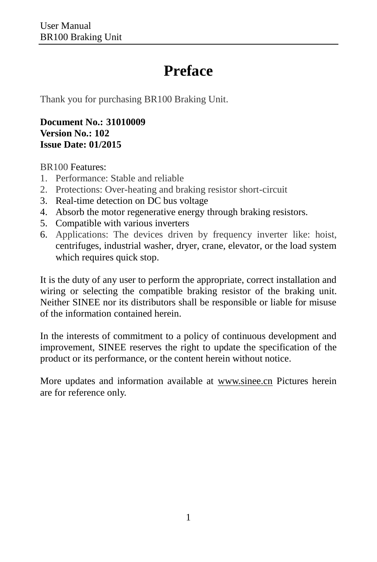## **Preface**

<span id="page-0-0"></span>Thank you for purchasing BR100 Braking Unit.

**Document No.: 31010009 Version No.: 102 Issue Date: 01/2015**

BR100 Features:

- 1. Performance: Stable and reliable
- 2. Protections: Over-heating and braking resistor short-circuit
- 3. Real-time detection on DC bus voltage
- 4. Absorb the motor regenerative energy through braking resistors.
- 5. Compatible with various inverters
- 6. Applications: The devices driven by frequency inverter like: hoist, centrifuges, industrial washer, dryer, crane, elevator, or the load system which requires quick stop.

It is the duty of any user to perform the appropriate, correct installation and wiring or selecting the compatible braking resistor of the braking unit. Neither SINEE nor its distributors shall be responsible or liable for misuse of the information contained herein.

In the interests of commitment to a policy of continuous development and improvement, SINEE reserves the right to update the specification of the product or its performance, or the content herein without notice.

More updates and information available at [www.sinee.cn](http://www.sinee.cn/) Pictures herein are for reference only.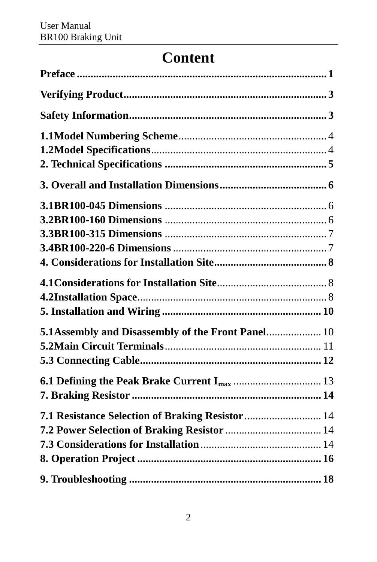# **Content**

| 5.1 Assembly and Disassembly of the Front Panel 10 |
|----------------------------------------------------|
|                                                    |
|                                                    |
|                                                    |
|                                                    |
|                                                    |
|                                                    |
|                                                    |
|                                                    |
|                                                    |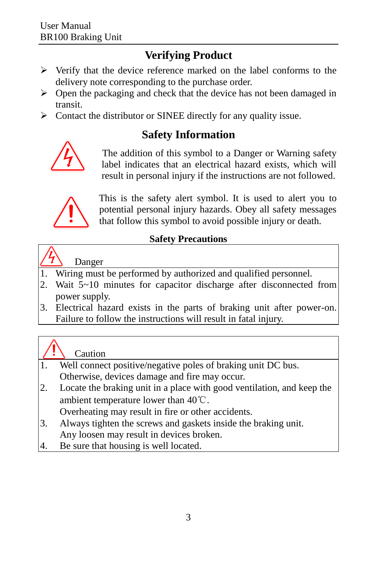## **Verifying Product**

- <span id="page-2-0"></span> $\triangleright$  Verify that the device reference marked on the label conforms to the delivery note corresponding to the purchase order.
- $\triangleright$  Open the packaging and check that the device has not been damaged in transit.
- <span id="page-2-1"></span> $\triangleright$  Contact the distributor or SINEE directly for any quality issue.

## **Safety Information**



 The addition of this symbol to a Danger or Warning safety label indicates that an electrical hazard exists, which will result in personal injury if the instructions are not followed.



 This is the safety alert symbol. It is used to alert you to potential personal injury hazards. Obey all safety messages that follow this symbol to avoid possible injury or death.

#### **Safety Precautions**

#### Danger

- Wiring must be performed by authorized and qualified personnel.
- 2. Wait 5~10 minutes for capacitor discharge after disconnected from power supply.
- 3. Electrical hazard exists in the parts of braking unit after power-on. Failure to follow the instructions will result in fatal injury.

## Caution

- 1. Well connect positive/negative poles of braking unit DC bus. Otherwise, devices damage and fire may occur.
- 2. Locate the braking unit in a place with good ventilation, and keep the ambient temperature lower than 40℃.

Overheating may result in fire or other accidents.

- 3. Always tighten the screws and gaskets inside the braking unit. Any loosen may result in devices broken.
- 4. Be sure that housing is well located.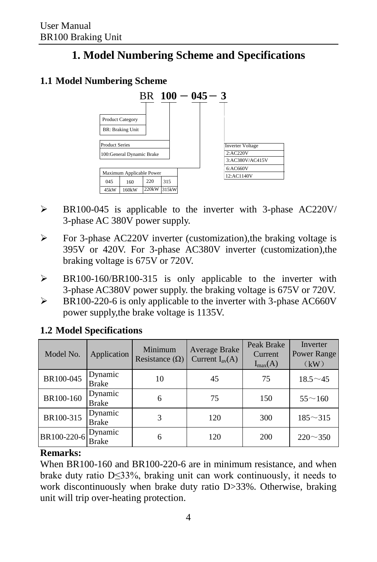## **1. Model Numbering Scheme and Specifications**

#### <span id="page-3-0"></span>**1.1 Model Numbering Scheme**



- BR100-045 is applicable to the inverter with 3-phase AC220V/ 3-phase AC 380V power supply.
- For 3-phase AC220V inverter (customization),the braking voltage is 395V or 420V. For 3-phase AC380V inverter (customization),the braking voltage is 675V or 720V.
- > BR100-160/BR100-315 is only applicable to the inverter with 3-phase AC380V power supply. the braking voltage is 675V or 720V.
- $\triangleright$  BR100-220-6 is only applicable to the inverter with 3-phase AC660V power supply,the brake voltage is 1135V.

| Model No.   | Application             | Minimum<br>Resistance $(\Omega)$ | Average Brake<br>Current $I_{av}(A)$ | Peak Brake<br>Current<br>$I_{max}(A)$ | Inverter<br>Power Range<br>(kW) |
|-------------|-------------------------|----------------------------------|--------------------------------------|---------------------------------------|---------------------------------|
| BR100-045   | Dynamic<br>Brake        | 10                               | 45                                   | 75                                    | $18.5^{\sim}45$                 |
| BR100-160   | Dynamic<br>Brake        | 6                                | 75                                   | 150                                   | $55^{\sim}160$                  |
| BR100-315   | Dynamic<br><b>Brake</b> | 3                                | 120                                  | 300                                   | $185 - 315$                     |
| BR100-220-6 | Dynamic<br>Brake        | 6                                | 120                                  | 200                                   | $220 \sim 350$                  |

#### <span id="page-3-1"></span>**1.2 Model Specifications**

#### **Remarks:**

When BR100-160 and BR100-220-6 are in minimum resistance, and when brake duty ratio D≤33%, braking unit can work continuously, it needs to work discontinuously when brake duty ratio D>33%. Otherwise, braking unit will trip over-heating protection.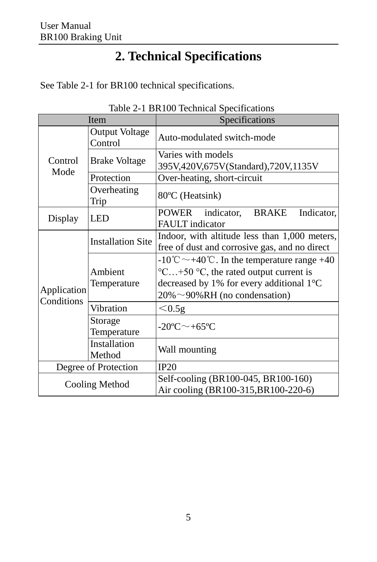# **2. Technical Specifications**

<span id="page-4-0"></span>See Table 2-1 for BR100 technical specifications.

|                      |                                                                                                                            | Table $2-1$ BRT00 Technical Specifications                                                                                                                                                                                              |  |  |
|----------------------|----------------------------------------------------------------------------------------------------------------------------|-----------------------------------------------------------------------------------------------------------------------------------------------------------------------------------------------------------------------------------------|--|--|
| Item                 |                                                                                                                            | Specifications                                                                                                                                                                                                                          |  |  |
|                      | <b>Output Voltage</b><br>Control                                                                                           | Auto-modulated switch-mode                                                                                                                                                                                                              |  |  |
| Control              | <b>Brake Voltage</b>                                                                                                       | Varies with models<br>395V,420V,675V(Standard),720V,1135V                                                                                                                                                                               |  |  |
| Mode                 | Protection                                                                                                                 | Over-heating, short-circuit                                                                                                                                                                                                             |  |  |
|                      | Overheating<br>Trip                                                                                                        | 80 °C (Heatsink)                                                                                                                                                                                                                        |  |  |
| Display              | <b>LED</b>                                                                                                                 | indicator,<br>Indicator,<br>POWER<br>BRAKE<br><b>FAULT</b> indicator                                                                                                                                                                    |  |  |
| Application          | Indoor, with altitude less than 1,000 meters,<br><b>Installation Site</b><br>free of dust and corrosive gas, and no direct |                                                                                                                                                                                                                                         |  |  |
|                      | Ambient<br>Temperature                                                                                                     | $-10^{\circ}\text{C} \sim +40^{\circ}\text{C}$ . In the temperature range +40<br>$\degree$ C+50 $\degree$ C, the rated output current is<br>decreased by 1% for every additional 1 $\mathbb C$<br>$20\% \sim 90\% RH$ (no condensation) |  |  |
| Conditions           | Vibration                                                                                                                  | $< 0.5$ g                                                                                                                                                                                                                               |  |  |
|                      | Storage<br>Temperature                                                                                                     | -20 $C$ $\sim$ +65 $C$                                                                                                                                                                                                                  |  |  |
|                      | Installation<br>Method                                                                                                     | Wall mounting                                                                                                                                                                                                                           |  |  |
| Degree of Protection |                                                                                                                            | IP20                                                                                                                                                                                                                                    |  |  |
| Cooling Method       |                                                                                                                            | Self-cooling (BR100-045, BR100-160)<br>Air cooling (BR100-315, BR100-220-6)                                                                                                                                                             |  |  |

Table 2-1 BR100 Technical Specifications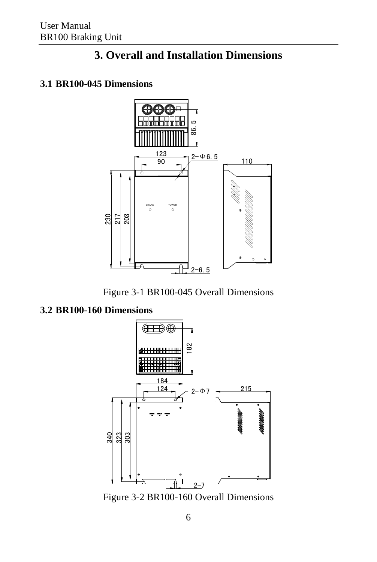## **3. Overall and Installation Dimensions**

#### <span id="page-5-1"></span><span id="page-5-0"></span>**3.1 BR100-045 Dimensions**





#### <span id="page-5-2"></span>**3.2 BR100-160 Dimensions**



Figure 3-2 BR100-160 Overall Dimensions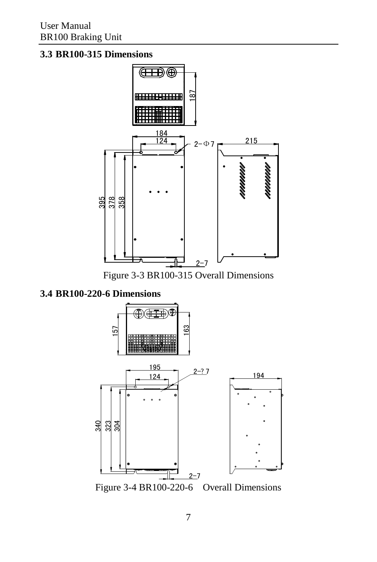#### <span id="page-6-0"></span>**3.3 BR100-315 Dimensions**



Figure 3-3 BR100-315 Overall Dimensions

<span id="page-6-1"></span>**3.4 BR100-220-6 Dimensions**



Figure 3-4 BR100-220-6 Overall Dimensions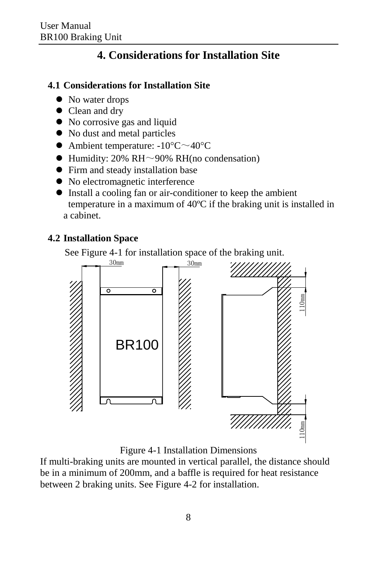## **4. Considerations for Installation Site**

#### <span id="page-7-1"></span><span id="page-7-0"></span>**4.1 Considerations for Installation Site**

- No water drops
- Clean and dry
- No corrosive gas and liquid
- $\bullet$  No dust and metal particles
- Ambient temperature:  $-10^{\circ}$ C $\sim$ 40°C
- $\bullet$  Humidity: 20% RH $\sim$ 90% RH(no condensation)
- Firm and steady installation base
- No electromagnetic interference
- Install a cooling fan or air-conditioner to keep the ambient temperature in a maximum of 40 $\mathbb C$  if the braking unit is installed in a cabinet.

#### <span id="page-7-2"></span>**4.2 Installation Space**

See Figure 4-1 for installation space of the braking unit.



Figure 4-1 Installation Dimensions

If multi-braking units are mounted in vertical parallel, the distance should be in a minimum of 200mm, and a baffle is required for heat resistance between 2 braking units. See Figure 4-2 for installation.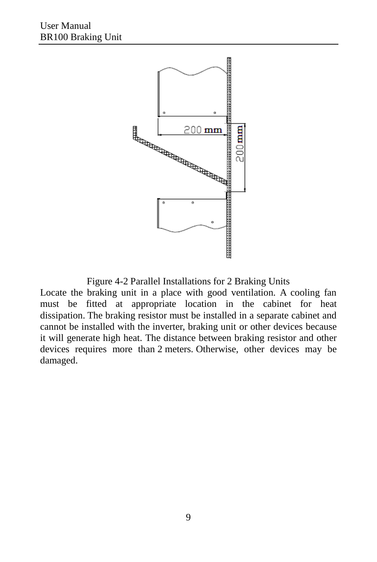

Figure 4-2 Parallel Installations for 2 Braking Units

Locate the braking unit in a place with good ventilation. A cooling fan must be fitted at appropriate location in the cabinet for heat dissipation. The braking resistor must be installed in a separate cabinet and cannot be installed with the inverter, braking unit or other devices because it will generate high heat. The distance between braking resistor and other devices requires more than 2 meters. Otherwise, other devices may be damaged.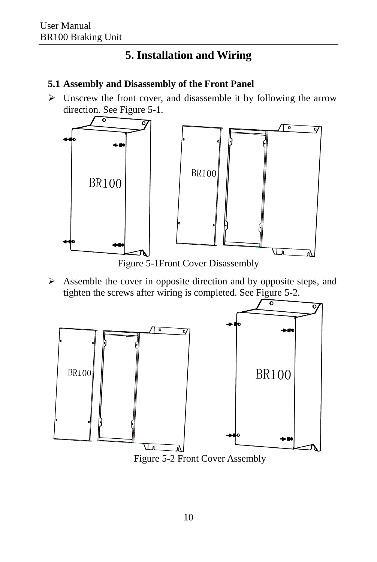### **5. Installation and Wiring**

#### <span id="page-9-1"></span><span id="page-9-0"></span>**5.1 Assembly and Disassembly of the Front Panel**

 $\triangleright$  Unscrew the front cover, and disassemble it by following the arrow direction. See Figure 5-1.



 $\triangleright$  Assemble the cover in opposite direction and by opposite steps, and tighten the screws after wiring is completed. See Figure 5-2.

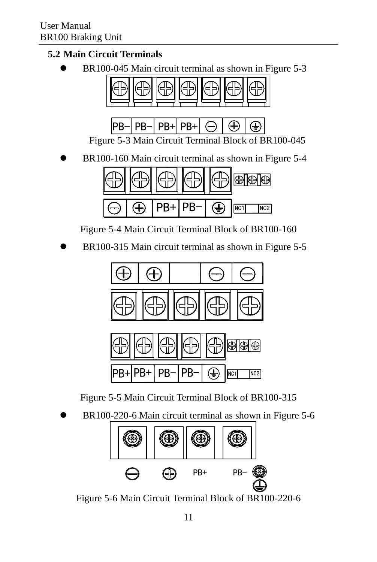#### <span id="page-10-0"></span>**5.2 Main Circuit Terminals**

BR100-045 Main circuit terminal as shown in Figure 5-3



Figure 5-3 Main Circuit Terminal Block of BR100-045

BR100-160 Main circuit terminal as shown in Figure 5-4



Figure 5-4 Main Circuit Terminal Block of BR100-160

BR100-315 Main circuit terminal as shown in Figure 5-5





Figure 5-5 Main Circuit Terminal Block of BR100-315

BR100-220-6 Main circuit terminal as shown in Figure 5-6



Figure 5-6 Main Circuit Terminal Block of BR100-220-6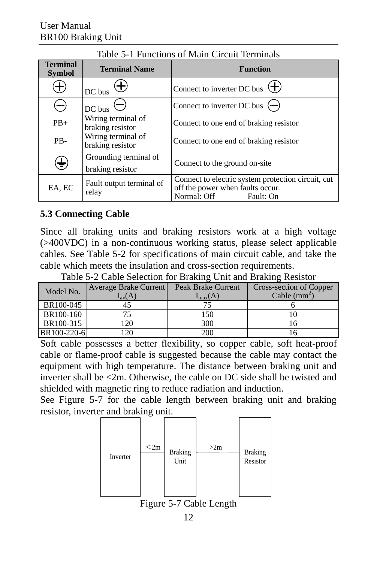| <b>Terminal</b>   |                                           |                                                                                                                    |
|-------------------|-------------------------------------------|--------------------------------------------------------------------------------------------------------------------|
| <b>Symbol</b>     | <b>Terminal Name</b>                      | <b>Function</b>                                                                                                    |
| Ð                 | $\oplus$<br>DC bus                        | Connect to inverter DC bus $\left( + \right)$                                                                      |
| $\left( -\right)$ | $\frac{DC}{DC}$ bus $\Theta$              | Connect to inverter DC bus $\left( \rightarrow \right)$                                                            |
| $PB+$             | Wiring terminal of<br>braking resistor    | Connect to one end of braking resistor                                                                             |
| PB-               | Wiring terminal of<br>braking resistor    | Connect to one end of braking resistor                                                                             |
| ⊕                 | Grounding terminal of<br>braking resistor | Connect to the ground on-site                                                                                      |
| EA, EC            | Fault output terminal of<br>relay         | Connect to electric system protection circuit, cut<br>off the power when faults occur.<br>Normal: Off<br>Fault: On |

#### Table 5-1 Functions of Main Circuit Terminals

#### <span id="page-11-0"></span>**5.3 Connecting Cable**

Since all braking units and braking resistors work at a high voltage (>400VDC) in a non-continuous working status, please select applicable cables. See Table 5-2 for specifications of main circuit cable, and take the cable which meets the insulation and cross-section requirements.

| Table 5-2 Cable Selection for Braking Unit and Braking Resistor |  |  |  |  |
|-----------------------------------------------------------------|--|--|--|--|
|                                                                 |  |  |  |  |

| Model No.   | <b>Average Brake Current</b> | Peak Brake Current | Cross-section of Copper |
|-------------|------------------------------|--------------------|-------------------------|
|             | $I_{av}(A)$                  | $I_{max}(A)$       | Cable $(mm^2)$          |
| BR100-045   |                              |                    |                         |
| BR100-160   |                              | 150                |                         |
| BR100-315   | l 20                         | 300                |                         |
| BR100-220-6 | 120                          | 200                |                         |

Soft cable possesses a better flexibility, so copper cable, soft heat-proof cable or flame-proof cable is suggested because the cable may contact the equipment with high temperature. The distance between braking unit and inverter shall be <2m. Otherwise, the cable on DC side shall be twisted and shielded with magnetic ring to reduce radiation and induction.

See Figure 5-7 for the cable length between braking unit and braking resistor, inverter and braking unit.



12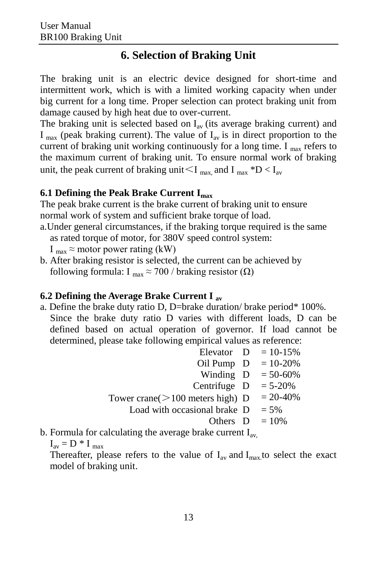### **6. Selection of Braking Unit**

The braking unit is an electric device designed for short-time and intermittent work, which is with a limited working capacity when under big current for a long time. Proper selection can protect braking unit from damage caused by high heat due to over-current.

The braking unit is selected based on  $I_{av}$  (its average braking current) and  $I_{\text{max}}$  (peak braking current). The value of  $I_{\text{av}}$  is in direct proportion to the current of braking unit working continuously for a long time. I  $_{\text{max}}$  refers to the maximum current of braking unit. To ensure normal work of braking unit, the peak current of braking unit  $\leq I_{\text{max}}$  and  $I_{\text{max}}$  \*D  $\leq I_{\text{av}}$ 

#### <span id="page-12-0"></span>**6.1 Defining the Peak Brake Current Imax**

The peak brake current is the brake current of braking unit to ensure normal work of system and sufficient brake torque of load.

a.Under general circumstances, if the braking torque required is the same as rated torque of motor, for 380V speed control system:

I  $_{\text{max}} \approx$  motor power rating (kW)

b. After braking resistor is selected, the current can be achieved by following formula: I  $_{max} \approx 700$  / braking resistor ( $\Omega$ )

#### **6.2 Defining the Average Brake Current I av**

a. Define the brake duty ratio D, D=brake duration/ brake period\* 100%. Since the brake duty ratio D varies with different loads, D can be defined based on actual operation of governor. If load cannot be determined, please take following empirical values as reference:

|                                                               | Elevator $D = 10-15%$ |
|---------------------------------------------------------------|-----------------------|
| Oil Pump $D = 10-20%$                                         |                       |
| Winding D                                                     | $= 50 - 60\%$         |
| Centrifuge D                                                  | $= 5 - 20\%$          |
| Tower crane( $>100$ meters high) D                            | $= 20 - 40\%$         |
| Load with occasional brake D                                  | $= 5\%$               |
| Others D                                                      | $=10%$                |
| b. Formula for calculating the average brake current $I_{av}$ |                       |
| $I_{av} = D * I_{max}$                                        |                       |

 $I_{av} = D * I_{max}$ Thereafter, please refers to the value of  $I_{av}$  and  $I_{max}$  to select the exact model of braking unit.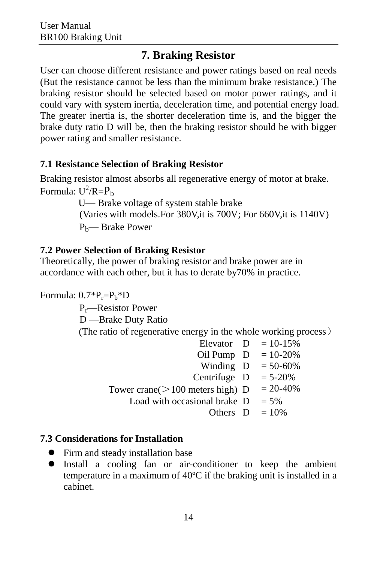## **7. Braking Resistor**

<span id="page-13-0"></span>User can choose different resistance and power ratings based on real needs (But the resistance cannot be less than the minimum brake resistance.) The braking resistor should be selected based on motor power ratings, and it could vary with system inertia, deceleration time, and potential energy load. The greater inertia is, the shorter deceleration time is, and the bigger the brake duty ratio D will be, then the braking resistor should be with bigger power rating and smaller resistance.

#### <span id="page-13-1"></span>**7.1 Resistance Selection of Braking Resistor**

Braking resistor almost absorbs all regenerative energy of motor at brake. Formula:  $U^2/R = P_b$ 

 U— Brake voltage of system stable brake (Varies with models.For 380V,it is 700V; For 660V,it is 1140V) Pb— Brake Power

### <span id="page-13-2"></span>**7.2 Power Selection of Braking Resistor**

Theoretically, the power of braking resistor and brake power are in accordance with each other, but it has to derate by70% in practice.

Formula:  $0.7^{\ast}P_{r}=P_{b}^{\ast}D$ 

Pr—Resistor Power

D —Brake Duty Ratio

(The ratio of regenerative energy in the whole working process)

|                                    | Elevator $D = 10-15%$ |
|------------------------------------|-----------------------|
| Oil Pump D                         | $= 10 - 20\%$         |
| Winding D                          | $= 50 - 60\%$         |
| Centrifuge D                       | $= 5 - 20\%$          |
| Tower crane( $>100$ meters high) D | $= 20 - 40\%$         |
| Load with occasional brake D       | $= 5\%$               |
| Others $D = 10\%$                  |                       |

### <span id="page-13-3"></span>**7.3 Considerations for Installation**

- Firm and steady installation base
- Install a cooling fan or air-conditioner to keep the ambient temperature in a maximum of 40 $\mathbb C$  if the braking unit is installed in a cabinet.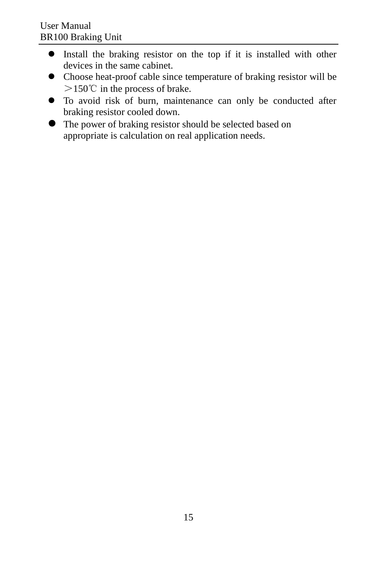- Install the braking resistor on the top if it is installed with other devices in the same cabinet.
- Choose heat-proof cable since temperature of braking resistor will be >150℃ in the process of brake.
- To avoid risk of burn, maintenance can only be conducted after braking resistor cooled down.
- The power of braking resistor should be selected based on appropriate is calculation on real application needs.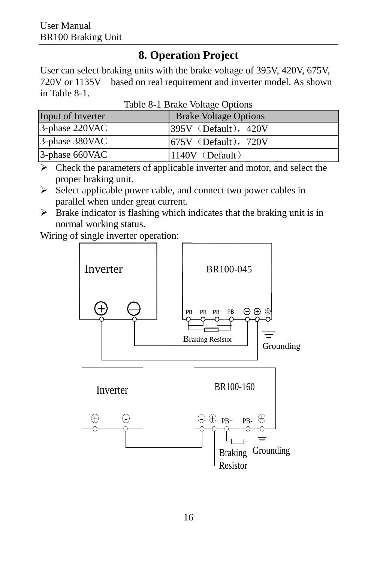## **8. Operation Project**

<span id="page-15-0"></span>User can select braking units with the brake voltage of 395V, 420V, 675V, 720V or 1135V based on real requirement and inverter model. As shown in Table 8-1.

| Input of Inverter | <b>Brake Voltage Options</b> |
|-------------------|------------------------------|
| 3-phase 220VAC    | $1395V$ (Default), 420V      |
| 3-phase 380VAC    | $1675V$ (Default), 720V      |
| 3-phase 660VAC    | $1140V$ (Default)            |

Table 8-1 Brake Voltage Options

 $\triangleright$  Check the parameters of applicable inverter and motor, and select the proper braking unit.

- $\triangleright$  Select applicable power cable, and connect two power cables in parallel when under great current.
- $\triangleright$  Brake indicator is flashing which indicates that the braking unit is in normal working status.

Wiring of single inverter operation:

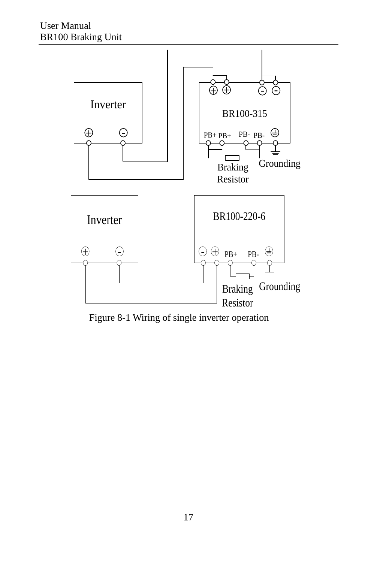

Figure 8-1 Wiring of single inverter operation